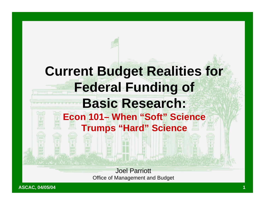# Joel Parriott **Current Budget Realities for Federal Funding of Basic Research: Econ 101– When "Soft" Science Trumps "Hard" Science**

Office of Management and Budget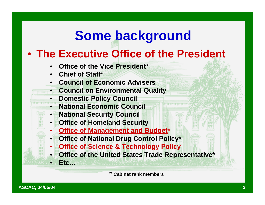## **Some background**

#### • **The Executive Office of the President**

- **Office of the Vice President\***
- **Chief of Staff\***

• **Etc…**

- **Council of Economic Advisers**
- **Council on Environmental Quality**
	- **Domestic Policy Council**
	- **National Economic Council**
	- **National Security Council**
	- **Office of Homeland Security**
	- **Office of Management and Budget\***
	- **Office of National Drug Control Policy\***
	- **Office of Science & Technology Policy** 
		- **Office of the United States Trade Representative\***

**\* Cabinet rank members**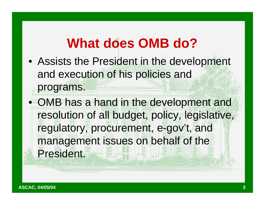# **What does OMB do?**

• Assists the President in the development and execution of his policies and

• OMB has a hand in the development and resolution of all budget, policy, legislative, regulatory, procurement, e-gov't, and management issues on behalf of the President.

programs.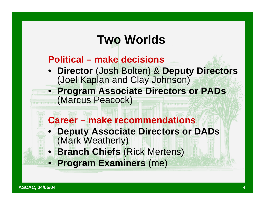## **Two Worlds**

#### **Political – make decisions**

- **Director** (Josh Bolten) & **Deputy Directors** (Joel Kaplan and Clay Johnson)
- **Program Associate Directors or PADs** (Marcus Peacock)
	- **Career – make recommendations** • **Deputy Associate Directors or DADs** (Mark Weatherly) • **Branch Chiefs** (Rick Mertens)
	- **Program Examiners** (me)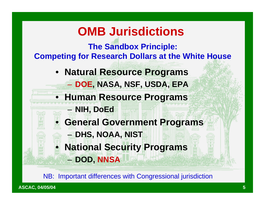## **OMB Jurisdictions**

**The Sandbox Principle: Competing for Research Dollars at the White House**

- **Natural Resource Programs** – **DOE, NASA, NSF, USDA, EPA**
- **Human Resource Programs**

– **NIH, DoEd**

– **DOD, NNSA**

- **General Government Programs** – **DHS, NOAA, NIST**
	- **National Security Programs**

NB: Important differences with Congressional jurisdiction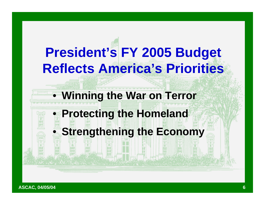# **President's FY 2005 Budget Reflects America's Priorities**

### • **Winning the War on Terror**

### • **Protecting the Homeland**

## **Strengthening the Economy**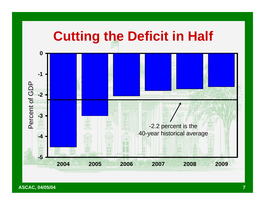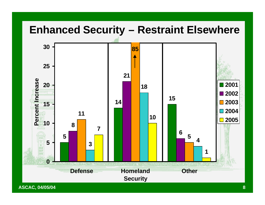#### **Enhanced Security – Restraint Elsewhere**



**ASCAC, 04/05/04 8**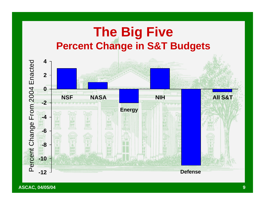## **The Big Five Percent Change in S&T Budgets**

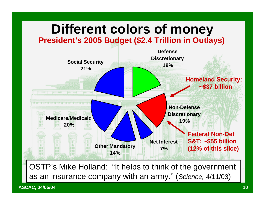

**ASCAC, 04/05/04 10**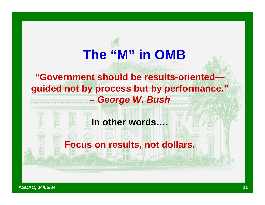# **The "M" in OMB**

#### **"Government should be results-oriented guided not by process but by performance."**

#### *– George W. Bush*

#### **In other words….**

#### **Focus on results, not dollars.**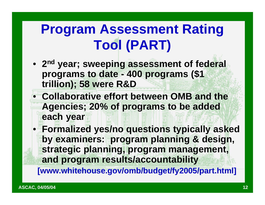# **Program Assessment Rating Tool (PART)**

- **2 nd year; sweeping assessment of federal programs to date - 400 programs (\$1 trillion); 58 were R&D**
- **Collaborative effort between OMB and the Agencies; 20% of programs to be added each year**
- **Formalized yes/no questions typically asked by examiners: program planning & design, strategic planning, program management, and program results/accountability**

**[www.whitehouse.gov/omb/budget/fy2005/part.html]**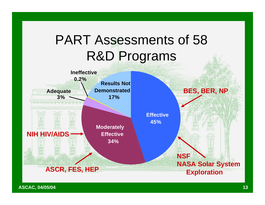## PART Assessments of 58 R&D Programs

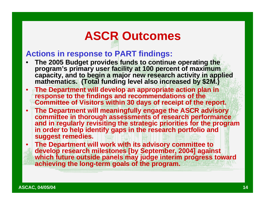## **ASCR Outcomes**

#### **Actions in response to PART findings:**

- **The 2005 Budget provides funds to continue operating the program's primary user facility at 100 percent of maximum capacity, and to begin a major new research activity in applied mathematics. (Total funding level also increased by \$2M.)**
- **The Department will develop an appropriate action plan in response to the findings and recommendations of the Committee of Visitors within 30 days of receipt of the report.**
- **The Department will meaningfully engage the ASCR advisory committee in thorough assessments of research performance and in regularly revisiting the strategic priorities for the program in order to help identify gaps in the research portfolio and suggest remedies.**
- **The Department will work with its advisory committee to develop research milestones [by September, 2004] against which future outside panels may judge interim progress toward achieving the long-term goals of the program.**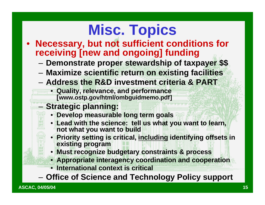# **Misc. Topics**

- **Necessary, but not sufficient conditions for receiving [new and ongoing] funding**
	- **Demonstrate proper stewardship of taxpayer \$\$**
	- **Maximize scientific return on existing facilities**
	- **Address the R&D investment criteria & PART**
	- **Quality, relevance, and performance [www.ostp.gov/html/ombguidmemo.pdf]**
	- **Strategic planning:**
		- **Develop measurable long term goals**
		- **Lead with the science: tell us what you want to learn, not what you want to build**
		- **Priority setting is critical, including identifying offsets in existing program**
		- **Must recognize budgetary constraints & process**
		- **Appropriate interagency coordination and cooperation**
		- **International context is critical**
	- **Office of Science and Technology Policy support**